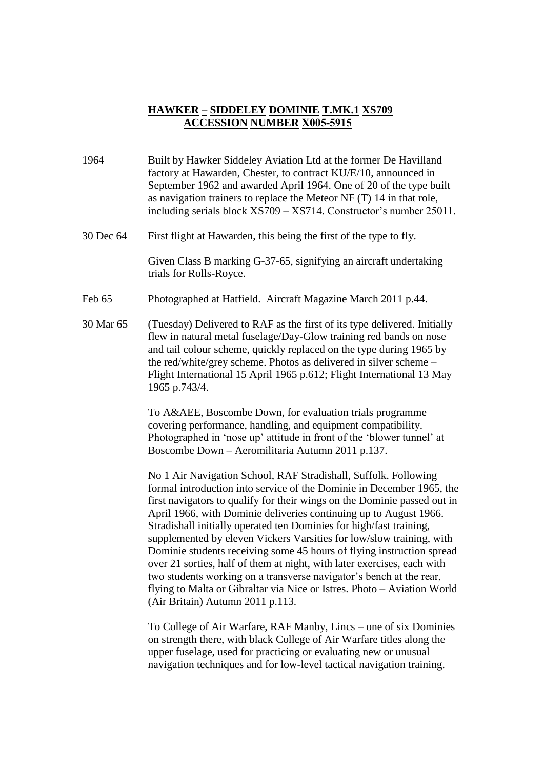## **HAWKER – SIDDELEY DOMINIE T.MK.1 XS709 ACCESSION NUMBER X005-5915**

- 1964 Built by Hawker Siddeley Aviation Ltd at the former De Havilland factory at Hawarden, Chester, to contract KU/E/10, announced in September 1962 and awarded April 1964. One of 20 of the type built as navigation trainers to replace the Meteor NF (T) 14 in that role, including serials block XS709 – XS714. Constructor's number 25011.
- 30 Dec 64 First flight at Hawarden, this being the first of the type to fly.

Given Class B marking G-37-65, signifying an aircraft undertaking trials for Rolls-Royce.

- Feb 65 Photographed at Hatfield. Aircraft Magazine March 2011 p.44.
- 30 Mar 65 (Tuesday) Delivered to RAF as the first of its type delivered. Initially flew in natural metal fuselage/Day-Glow training red bands on nose and tail colour scheme, quickly replaced on the type during 1965 by the red/white/grey scheme. Photos as delivered in silver scheme – Flight International 15 April 1965 p.612; Flight International 13 May 1965 p.743/4.

To A&AEE, Boscombe Down, for evaluation trials programme covering performance, handling, and equipment compatibility. Photographed in 'nose up' attitude in front of the 'blower tunnel' at Boscombe Down – Aeromilitaria Autumn 2011 p.137.

No 1 Air Navigation School, RAF Stradishall, Suffolk. Following formal introduction into service of the Dominie in December 1965, the first navigators to qualify for their wings on the Dominie passed out in April 1966, with Dominie deliveries continuing up to August 1966. Stradishall initially operated ten Dominies for high/fast training, supplemented by eleven Vickers Varsities for low/slow training, with Dominie students receiving some 45 hours of flying instruction spread over 21 sorties, half of them at night, with later exercises, each with two students working on a transverse navigator's bench at the rear, flying to Malta or Gibraltar via Nice or Istres. Photo – Aviation World (Air Britain) Autumn 2011 p.113.

To College of Air Warfare, RAF Manby, Lincs – one of six Dominies on strength there, with black College of Air Warfare titles along the upper fuselage, used for practicing or evaluating new or unusual navigation techniques and for low-level tactical navigation training.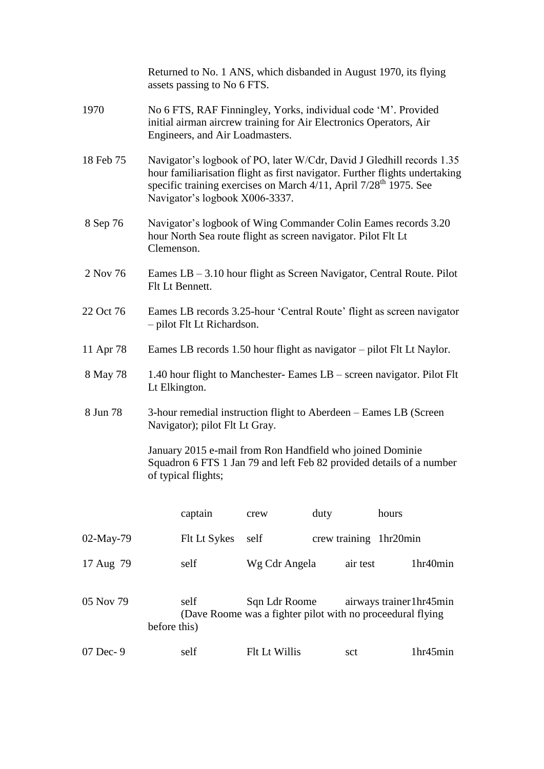|           | Returned to No. 1 ANS, which disbanded in August 1970, its flying<br>assets passing to No 6 FTS.                                                                                                                                                                        |               |                        |          |  |
|-----------|-------------------------------------------------------------------------------------------------------------------------------------------------------------------------------------------------------------------------------------------------------------------------|---------------|------------------------|----------|--|
| 1970      | No 6 FTS, RAF Finningley, Yorks, individual code 'M'. Provided<br>initial airman aircrew training for Air Electronics Operators, Air<br>Engineers, and Air Loadmasters.                                                                                                 |               |                        |          |  |
| 18 Feb 75 | Navigator's logbook of PO, later W/Cdr, David J Gledhill records 1.35<br>hour familiarisation flight as first navigator. Further flights undertaking<br>specific training exercises on March 4/11, April 7/28 <sup>th</sup> 1975. See<br>Navigator's logbook X006-3337. |               |                        |          |  |
| 8 Sep 76  | Navigator's logbook of Wing Commander Colin Eames records 3.20<br>hour North Sea route flight as screen navigator. Pilot Flt Lt<br>Clemenson.                                                                                                                           |               |                        |          |  |
| 2 Nov 76  | Eames $LB - 3.10$ hour flight as Screen Navigator, Central Route. Pilot<br>Flt Lt Bennett.                                                                                                                                                                              |               |                        |          |  |
| 22 Oct 76 | Eames LB records 3.25-hour 'Central Route' flight as screen navigator<br>- pilot Flt Lt Richardson.                                                                                                                                                                     |               |                        |          |  |
| 11 Apr 78 | Eames LB records 1.50 hour flight as navigator - pilot Flt Lt Naylor.                                                                                                                                                                                                   |               |                        |          |  |
| 8 May 78  | 1.40 hour flight to Manchester- Eames LB – screen navigator. Pilot Flt<br>Lt Elkington.                                                                                                                                                                                 |               |                        |          |  |
| 8 Jun 78  | 3-hour remedial instruction flight to Aberdeen – Eames LB (Screen)<br>Navigator); pilot Flt Lt Gray.                                                                                                                                                                    |               |                        |          |  |
|           | January 2015 e-mail from Ron Handfield who joined Dominie<br>Squadron 6 FTS 1 Jan 79 and left Feb 82 provided details of a number<br>of typical flights;                                                                                                                |               |                        |          |  |
|           | captain                                                                                                                                                                                                                                                                 | crew          | duty                   | hours    |  |
| 02-May-79 | Flt Lt Sykes                                                                                                                                                                                                                                                            | self          | crew training 1hr20min |          |  |
| 17 Aug 79 | self                                                                                                                                                                                                                                                                    | Wg Cdr Angela | air test               | 1hr40min |  |
| 05 Nov 79 | self<br>Sqn Ldr Roome<br>airways trainer1hr45min<br>(Dave Roome was a fighter pilot with no proceedural flying<br>before this)                                                                                                                                          |               |                        |          |  |
| 07 Dec- 9 | self                                                                                                                                                                                                                                                                    | Flt Lt Willis | sct                    | 1hr45min |  |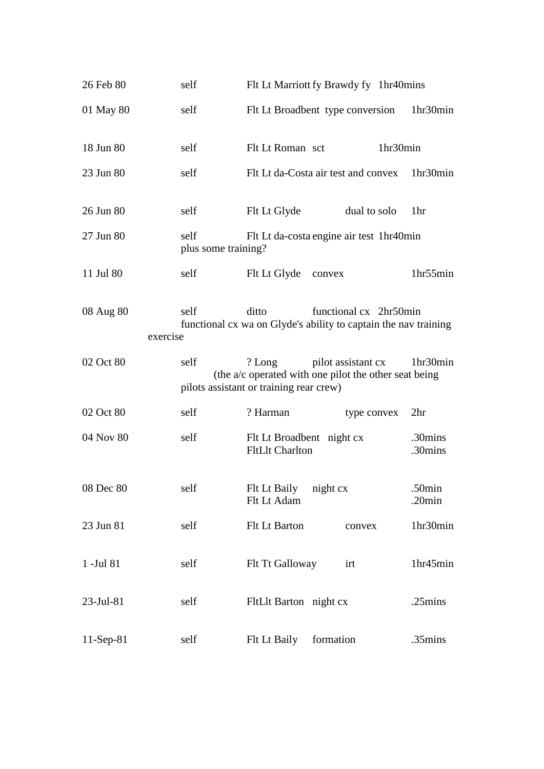| 26 Feb 80             | self                                                                                                       | Flt Lt Marriott fy Brawdy fy 1hr40mins                                                                                                       |  |  |  |
|-----------------------|------------------------------------------------------------------------------------------------------------|----------------------------------------------------------------------------------------------------------------------------------------------|--|--|--|
| 01 May 80             | self                                                                                                       | Flt Lt Broadbent type conversion<br>1hr30min                                                                                                 |  |  |  |
| 18 Jun 80             | self                                                                                                       | 1hr30min<br>Flt Lt Roman sct                                                                                                                 |  |  |  |
| 23 Jun 80             | self                                                                                                       | Flt Lt da-Costa air test and convex<br>1hr30min                                                                                              |  |  |  |
| 26 Jun 80             | self                                                                                                       | Flt Lt Glyde<br>dual to solo<br>1hr                                                                                                          |  |  |  |
| 27 Jun 80             | self<br>plus some training?                                                                                | Flt Lt da-costa engine air test 1hr40min                                                                                                     |  |  |  |
| 11 Jul 80             | self                                                                                                       | Flt Lt Glyde<br>1hr55min<br>convex                                                                                                           |  |  |  |
| 08 Aug 80<br>exercise | self<br>ditto<br>functional cx 2hr50min<br>functional cx wa on Glyde's ability to captain the nav training |                                                                                                                                              |  |  |  |
| 02 Oct 80             | self                                                                                                       | pilot assistant cx<br>? Long<br>1hr30min<br>(the a/c operated with one pilot the other seat being<br>pilots assistant or training rear crew) |  |  |  |
| 02 Oct 80             | self                                                                                                       | ? Harman<br>2 <sup>hr</sup><br>type convex                                                                                                   |  |  |  |
| 04 Nov 80             | self                                                                                                       | Flt Lt Broadbent night cx<br>.30mins<br><b>FltLlt Charlton</b><br>.30mins                                                                    |  |  |  |
| 08 Dec 80             | self                                                                                                       | Flt Lt Baily night cx<br>.50min<br>$.20$ min<br>Flt Lt Adam                                                                                  |  |  |  |
| 23 Jun 81             | self                                                                                                       | 1hr30min<br>Flt Lt Barton<br>convex                                                                                                          |  |  |  |
| 1 -Jul 81             | self                                                                                                       | Flt Tt Galloway<br>1hr45min<br>irt                                                                                                           |  |  |  |
| $23-Jul-81$           | self                                                                                                       | FltLlt Barton night cx<br>$.25 \text{mins}$                                                                                                  |  |  |  |
| $11-Sep-81$           | self                                                                                                       | Flt Lt Baily<br>.35mins<br>formation                                                                                                         |  |  |  |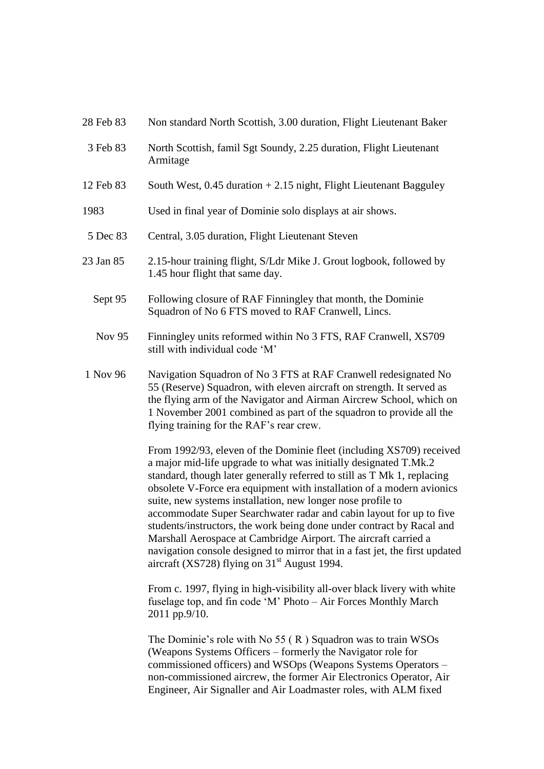| 28 Feb 83 | Non standard North Scottish, 3.00 duration, Flight Lieutenant Baker                                                                                                                                                                                                                                                                                                                                                                                                                                                                                                                                                                                                                                             |  |  |
|-----------|-----------------------------------------------------------------------------------------------------------------------------------------------------------------------------------------------------------------------------------------------------------------------------------------------------------------------------------------------------------------------------------------------------------------------------------------------------------------------------------------------------------------------------------------------------------------------------------------------------------------------------------------------------------------------------------------------------------------|--|--|
| 3 Feb 83  | North Scottish, famil Sgt Soundy, 2.25 duration, Flight Lieutenant<br>Armitage                                                                                                                                                                                                                                                                                                                                                                                                                                                                                                                                                                                                                                  |  |  |
| 12 Feb 83 | South West, $0.45$ duration $+2.15$ night, Flight Lieutenant Bagguley                                                                                                                                                                                                                                                                                                                                                                                                                                                                                                                                                                                                                                           |  |  |
| 1983      | Used in final year of Dominie solo displays at air shows.                                                                                                                                                                                                                                                                                                                                                                                                                                                                                                                                                                                                                                                       |  |  |
| 5 Dec 83  | Central, 3.05 duration, Flight Lieutenant Steven                                                                                                                                                                                                                                                                                                                                                                                                                                                                                                                                                                                                                                                                |  |  |
| 23 Jan 85 | 2.15-hour training flight, S/Ldr Mike J. Grout logbook, followed by<br>1.45 hour flight that same day.                                                                                                                                                                                                                                                                                                                                                                                                                                                                                                                                                                                                          |  |  |
| Sept 95   | Following closure of RAF Finningley that month, the Dominie<br>Squadron of No 6 FTS moved to RAF Cranwell, Lincs.                                                                                                                                                                                                                                                                                                                                                                                                                                                                                                                                                                                               |  |  |
| Nov 95    | Finningley units reformed within No 3 FTS, RAF Cranwell, XS709<br>still with individual code 'M'                                                                                                                                                                                                                                                                                                                                                                                                                                                                                                                                                                                                                |  |  |
| 1 Nov 96  | Navigation Squadron of No 3 FTS at RAF Cranwell redesignated No<br>55 (Reserve) Squadron, with eleven aircraft on strength. It served as<br>the flying arm of the Navigator and Airman Aircrew School, which on<br>1 November 2001 combined as part of the squadron to provide all the<br>flying training for the RAF's rear crew.                                                                                                                                                                                                                                                                                                                                                                              |  |  |
|           | From 1992/93, eleven of the Dominie fleet (including XS709) received<br>a major mid-life upgrade to what was initially designated T.Mk.2<br>standard, though later generally referred to still as T Mk 1, replacing<br>obsolete V-Force era equipment with installation of a modern avionics<br>suite, new systems installation, new longer nose profile to<br>accommodate Super Searchwater radar and cabin layout for up to five<br>students/instructors, the work being done under contract by Racal and<br>Marshall Aerospace at Cambridge Airport. The aircraft carried a<br>navigation console designed to mirror that in a fast jet, the first updated<br>aircraft (XS728) flying on $31st$ August 1994. |  |  |
|           | From c. 1997, flying in high-visibility all-over black livery with white<br>fuselage top, and fin code 'M' Photo - Air Forces Monthly March<br>2011 pp.9/10.                                                                                                                                                                                                                                                                                                                                                                                                                                                                                                                                                    |  |  |
|           | The Dominie's role with No $55$ ( $R$ ) Squadron was to train WSOs<br>(Weapons Systems Officers – formerly the Navigator role for<br>commissioned officers) and WSOps (Weapons Systems Operators -<br>non-commissioned aircrew, the former Air Electronics Operator, Air<br>Engineer, Air Signaller and Air Loadmaster roles, with ALM fixed                                                                                                                                                                                                                                                                                                                                                                    |  |  |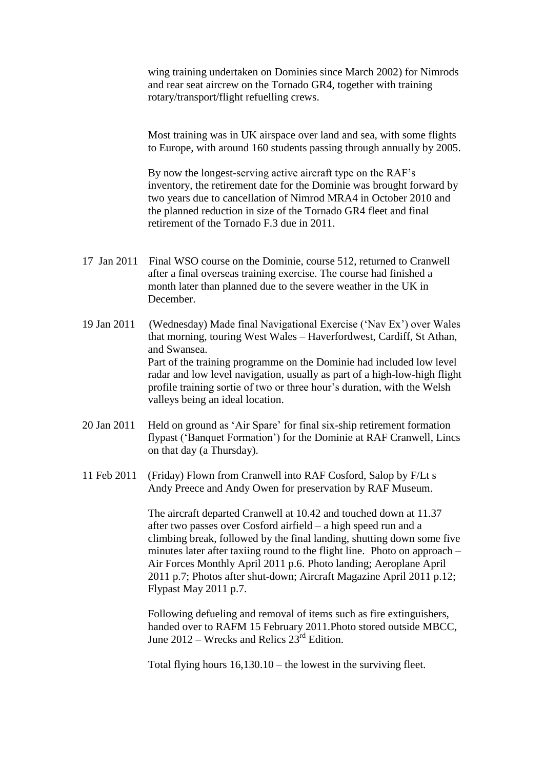wing training undertaken on Dominies since March 2002) for Nimrods and rear seat aircrew on the Tornado GR4, together with training rotary/transport/flight refuelling crews.

Most training was in UK airspace over land and sea, with some flights to Europe, with around 160 students passing through annually by 2005.

By now the longest-serving active aircraft type on the RAF's inventory, the retirement date for the Dominie was brought forward by two years due to cancellation of Nimrod MRA4 in October 2010 and the planned reduction in size of the Tornado GR4 fleet and final retirement of the Tornado F.3 due in 2011.

- 17 Jan 2011 Final WSO course on the Dominie, course 512, returned to Cranwell after a final overseas training exercise. The course had finished a month later than planned due to the severe weather in the UK in December.
- 19 Jan 2011 (Wednesday) Made final Navigational Exercise ('Nav Ex') over Wales that morning, touring West Wales – Haverfordwest, Cardiff, St Athan, and Swansea. Part of the training programme on the Dominie had included low level radar and low level navigation, usually as part of a high-low-high flight profile training sortie of two or three hour's duration, with the Welsh valleys being an ideal location.
- 20 Jan 2011 Held on ground as 'Air Spare' for final six-ship retirement formation flypast ('Banquet Formation') for the Dominie at RAF Cranwell, Lincs on that day (a Thursday).
- 11 Feb 2011 (Friday) Flown from Cranwell into RAF Cosford, Salop by F/Lt s Andy Preece and Andy Owen for preservation by RAF Museum.

The aircraft departed Cranwell at 10.42 and touched down at 11.37 after two passes over Cosford airfield – a high speed run and a climbing break, followed by the final landing, shutting down some five minutes later after taxiing round to the flight line. Photo on approach – Air Forces Monthly April 2011 p.6. Photo landing; Aeroplane April 2011 p.7; Photos after shut-down; Aircraft Magazine April 2011 p.12; Flypast May 2011 p.7.

Following defueling and removal of items such as fire extinguishers, handed over to RAFM 15 February 2011.Photo stored outside MBCC, June 2012 – Wrecks and Relics  $23<sup>rd</sup>$  Edition.

Total flying hours 16,130.10 – the lowest in the surviving fleet.